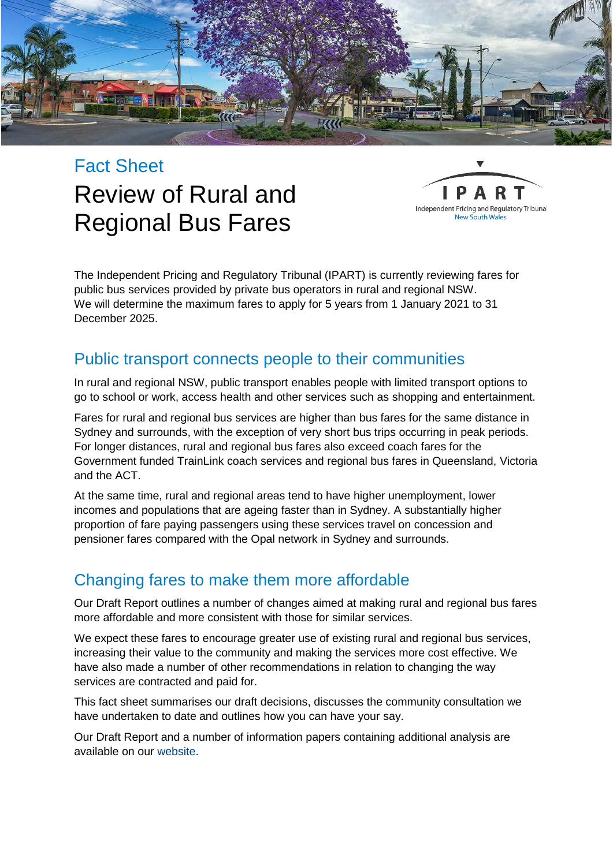

# Fact Sheet Review of Rural and Regional Bus Fares



The Independent Pricing and Regulatory Tribunal (IPART) is currently reviewing fares for public bus services provided by private bus operators in rural and regional NSW. We will determine the maximum fares to apply for 5 years from 1 January 2021 to 31 December 2025.

### Public transport connects people to their communities

In rural and regional NSW, public transport enables people with limited transport options to go to school or work, access health and other services such as shopping and entertainment.

Fares for rural and regional bus services are higher than bus fares for the same distance in Sydney and surrounds, with the exception of very short bus trips occurring in peak periods. For longer distances, rural and regional bus fares also exceed coach fares for the Government funded TrainLink coach services and regional bus fares in Queensland, Victoria and the ACT.

At the same time, rural and regional areas tend to have higher unemployment, lower incomes and populations that are ageing faster than in Sydney. A substantially higher proportion of fare paying passengers using these services travel on concession and pensioner fares compared with the Opal network in Sydney and surrounds.

### Changing fares to make them more affordable

Our Draft Report outlines a number of changes aimed at making rural and regional bus fares more affordable and more consistent with those for similar services.

We expect these fares to encourage greater use of existing rural and regional bus services, increasing their value to the community and making the services more cost effective. We have also made a number of other recommendations in relation to changing the way services are contracted and paid for.

This fact sheet summarises our draft decisions, discusses the community consultation we have undertaken to date and outlines how you can have your say.

Our Draft Report and a number of information papers containing additional analysis are available on our [website.](http://www.ipart.nsw.gov.au/)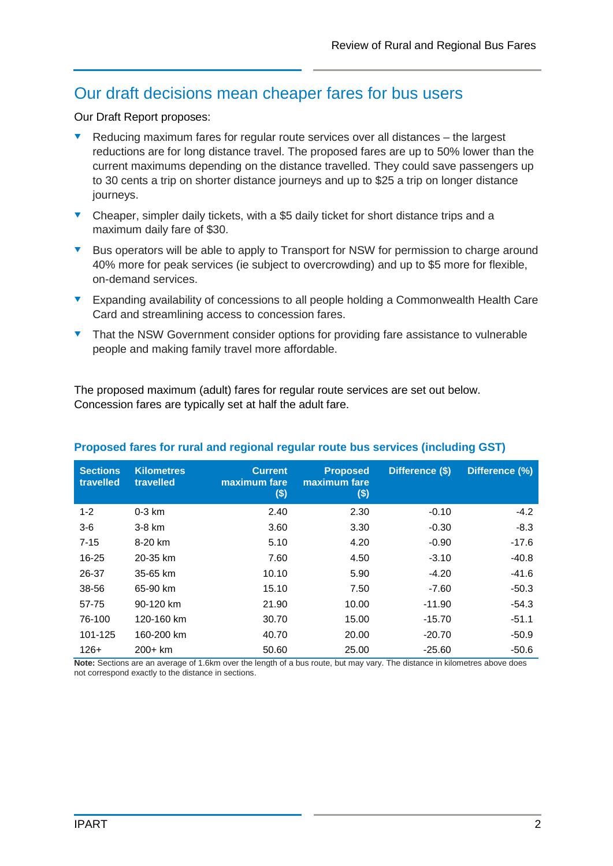### Our draft decisions mean cheaper fares for bus users

Our Draft Report proposes:

- Reducing maximum fares for regular route services over all distances the largest reductions are for long distance travel. The proposed fares are up to 50% lower than the current maximums depending on the distance travelled. They could save passengers up to 30 cents a trip on shorter distance journeys and up to \$25 a trip on longer distance journeys.
- Cheaper, simpler daily tickets, with a \$5 daily ticket for short distance trips and a maximum daily fare of \$30.
- Bus operators will be able to apply to Transport for NSW for permission to charge around 40% more for peak services (ie subject to overcrowding) and up to \$5 more for flexible, on-demand services.
- Expanding availability of concessions to all people holding a Commonwealth Health Care Card and streamlining access to concession fares.
- That the NSW Government consider options for providing fare assistance to vulnerable people and making family travel more affordable.

The proposed maximum (adult) fares for regular route services are set out below. Concession fares are typically set at half the adult fare.

| <b>Sections</b><br>travelled                                  | <b>Kilometres</b><br>travelled | <b>Current</b><br>maximum fare<br>\$) | <b>Proposed</b><br>maximum fare<br>$($)$                                                                                                                                                                                                | Difference (\$)                                  | Difference (%)     |
|---------------------------------------------------------------|--------------------------------|---------------------------------------|-----------------------------------------------------------------------------------------------------------------------------------------------------------------------------------------------------------------------------------------|--------------------------------------------------|--------------------|
| $1 - 2$                                                       | $0-3$ km                       | 2.40                                  | 2.30                                                                                                                                                                                                                                    | $-0.10$                                          | $-4.2$             |
| $3-6$                                                         | 3-8 km                         | 3.60                                  | 3.30                                                                                                                                                                                                                                    | $-0.30$                                          | $-8.3$             |
| $7 - 15$                                                      | 8-20 km                        | 5.10                                  | 4.20                                                                                                                                                                                                                                    | $-0.90$                                          | $-17.6$            |
| 16-25                                                         | 20-35 km                       | 7.60                                  | 4.50                                                                                                                                                                                                                                    | $-3.10$                                          | $-40.8$            |
| 26-37                                                         | 35-65 km                       | 10.10                                 | 5.90                                                                                                                                                                                                                                    | $-4.20$                                          | $-41.6$            |
| 38-56                                                         | 65-90 km                       | 15.10                                 | 7.50                                                                                                                                                                                                                                    | $-7.60$                                          | $-50.3$            |
| 57-75                                                         | 90-120 km                      | 21.90                                 | 10.00                                                                                                                                                                                                                                   | $-11.90$                                         | $-54.3$            |
| 76-100                                                        | 120-160 km                     | 30.70                                 | 15.00                                                                                                                                                                                                                                   | $-15.70$                                         | $-51.1$            |
| 101-125                                                       | 160-200 km                     | 40.70                                 | 20.00                                                                                                                                                                                                                                   | $-20.70$                                         | $-50.9$            |
| $126+$<br>$\mathbf{M} = \mathbf{A} - \mathbf{A} - \mathbf{A}$ | $200 + km$                     | 50.60<br>$-1$ $-1$ $-1$               | 25.00<br>the contribution of the contribution of the contribution of the contribution of the contribution of the contribution of the contribution of the contribution of the contribution of the contribution of the contribution of th | $-25.60$<br>青れ スーパー・ショック いっけん おおし ふくしょう こうしょうしょう | $-50.6$<br>د د داد |

#### **Proposed fares for rural and regional regular route bus services (including GST)**

**Note:** Sections are an average of 1.6km over the length of a bus route, but may vary. The distance in kilometres above does not correspond exactly to the distance in sections.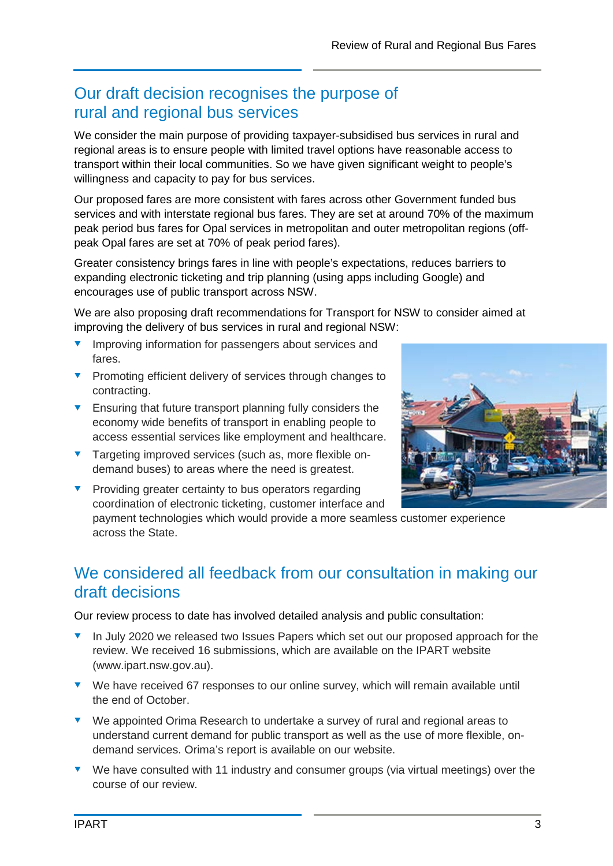## Our draft decision recognises the purpose of rural and regional bus services

We consider the main purpose of providing taxpayer-subsidised bus services in rural and regional areas is to ensure people with limited travel options have reasonable access to transport within their local communities. So we have given significant weight to people's willingness and capacity to pay for bus services.

Our proposed fares are more consistent with fares across other Government funded bus services and with interstate regional bus fares. They are set at around 70% of the maximum peak period bus fares for Opal services in metropolitan and outer metropolitan regions (offpeak Opal fares are set at 70% of peak period fares).

Greater consistency brings fares in line with people's expectations, reduces barriers to expanding electronic ticketing and trip planning (using apps including Google) and encourages use of public transport across NSW.

We are also proposing draft recommendations for Transport for NSW to consider aimed at improving the delivery of bus services in rural and regional NSW:

- Improving information for passengers about services and fares.
- **Promoting efficient delivery of services through changes to** contracting.
- **Ensuring that future transport planning fully considers the** economy wide benefits of transport in enabling people to access essential services like employment and healthcare.
- **Targeting improved services (such as, more flexible on**demand buses) to areas where the need is greatest.



**Providing greater certainty to bus operators regarding** coordination of electronic ticketing, customer interface and

payment technologies which would provide a more seamless customer experience across the State.

### We considered all feedback from our consultation in making our draft decisions

Our review process to date has involved detailed analysis and public consultation:

- In July 2020 we released two Issues Papers which set out our proposed approach for the review. We received 16 submissions, which are available on the IPART website (www.ipart.nsw.gov.au).
- We have received 67 responses to our online survey, which will remain available until the end of October.
- ▼ We appointed Orima Research to undertake a survey of rural and regional areas to understand current demand for public transport as well as the use of more flexible, ondemand services. Orima's report is available on our website.
- ▼ We have consulted with 11 industry and consumer groups (via virtual meetings) over the course of our review.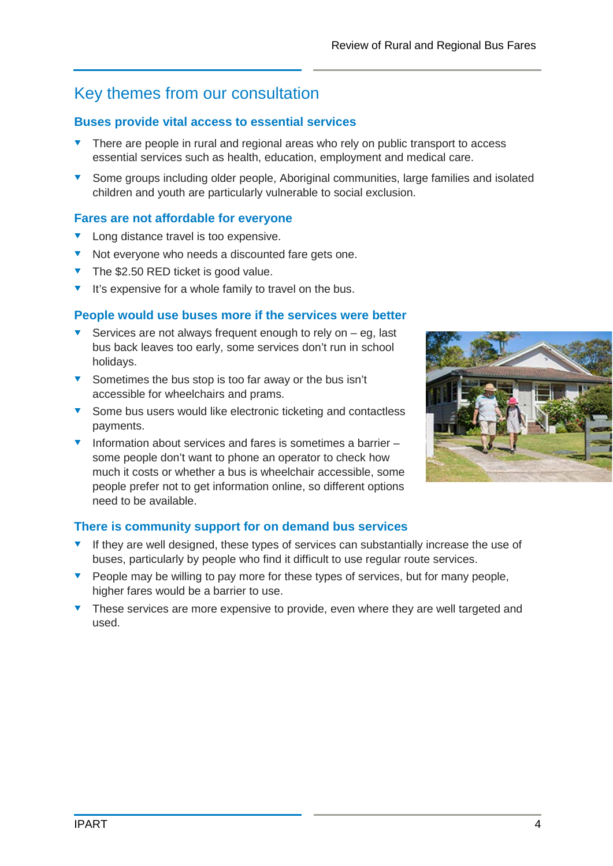# Key themes from our consultation

### **Buses provide vital access to essential services**

- There are people in rural and regional areas who rely on public transport to access essential services such as health, education, employment and medical care.
- Some groups including older people, Aboriginal communities, large families and isolated children and youth are particularly vulnerable to social exclusion.

### **Fares are not affordable for everyone**

- **v** Long distance travel is too expensive.
- ▼ Not everyone who needs a discounted fare gets one.
- $\blacktriangledown$  The \$2.50 RED ticket is good value.
- $\blacktriangleright$  It's expensive for a whole family to travel on the bus.

#### **People would use buses more if the services were better**

- Services are not always frequent enough to rely on  $-$  eg, last bus back leaves too early, some services don't run in school holidays.
- Sometimes the bus stop is too far away or the bus isn't accessible for wheelchairs and prams.
- Some bus users would like electronic ticketing and contactless payments.
- Information about services and fares is sometimes a barrier  $$ some people don't want to phone an operator to check how much it costs or whether a bus is wheelchair accessible, some people prefer not to get information online, so different options need to be available.



- $\bullet$  If they are well designed, these types of services can substantially increase the use of buses, particularly by people who find it difficult to use regular route services.
- $\bullet$  People may be willing to pay more for these types of services, but for many people, higher fares would be a barrier to use.
- These services are more expensive to provide, even where they are well targeted and used.